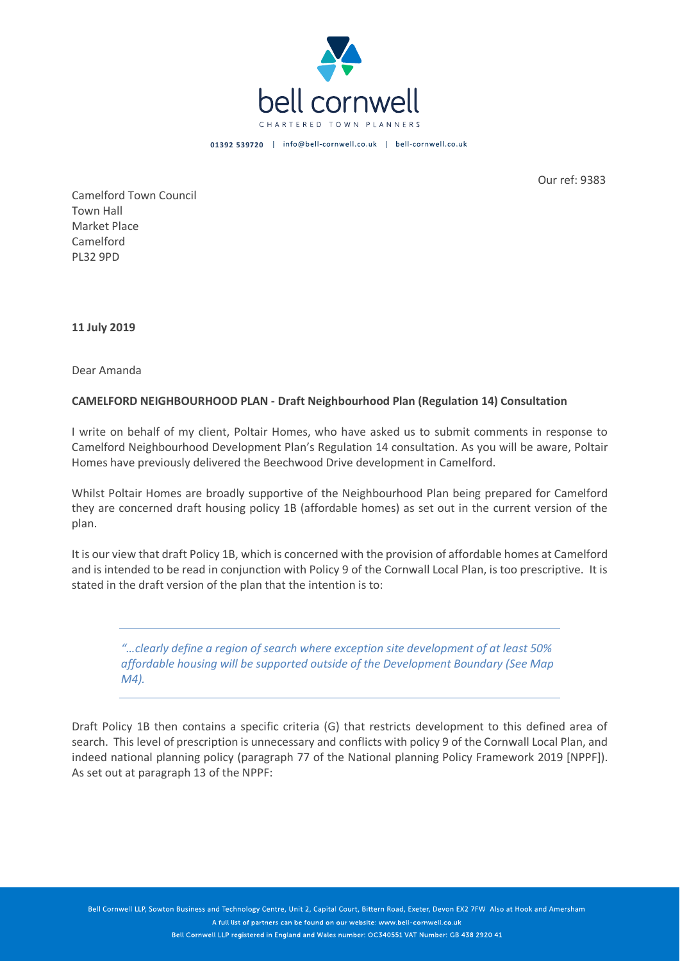

01392 539720 | info@bell-cornwell.co.uk | bell-cornwell.co.uk

Our ref: 9383

Camelford Town Council Town Hall Market Place Camelford PL32 9PD

**11 July 2019**

Dear Amanda

## **CAMELFORD NEIGHBOURHOOD PLAN - Draft Neighbourhood Plan (Regulation 14) Consultation**

I write on behalf of my client, Poltair Homes, who have asked us to submit comments in response to Camelford Neighbourhood Development Plan's Regulation 14 consultation. As you will be aware, Poltair Homes have previously delivered the Beechwood Drive development in Camelford.

Whilst Poltair Homes are broadly supportive of the Neighbourhood Plan being prepared for Camelford they are concerned draft housing policy 1B (affordable homes) as set out in the current version of the plan.

It is our view that draft Policy 1B, which is concerned with the provision of affordable homes at Camelford and is intended to be read in conjunction with Policy 9 of the Cornwall Local Plan, is too prescriptive. It is stated in the draft version of the plan that the intention is to:

*"…clearly define a region of search where exception site development of at least 50% affordable housing will be supported outside of the Development Boundary (See Map M4).*

Draft Policy 1B then contains a specific criteria (G) that restricts development to this defined area of search. This level of prescription is unnecessary and conflicts with policy 9 of the Cornwall Local Plan, and indeed national planning policy (paragraph 77 of the National planning Policy Framework 2019 [NPPF]). As set out at paragraph 13 of the NPPF:

Bell Cornwell LLP, Sowton Business and Technology Centre, Unit 2, Capital Court, Bittern Road, Exeter, Devon EX2 7FW Also at Hook and Amersham A full list of partners can be found on our website: www.bell-cornwell.co.uk Bell Cornwell LLP registered in England and Wales number: OC340551 VAT Number: GB 438 2920 41